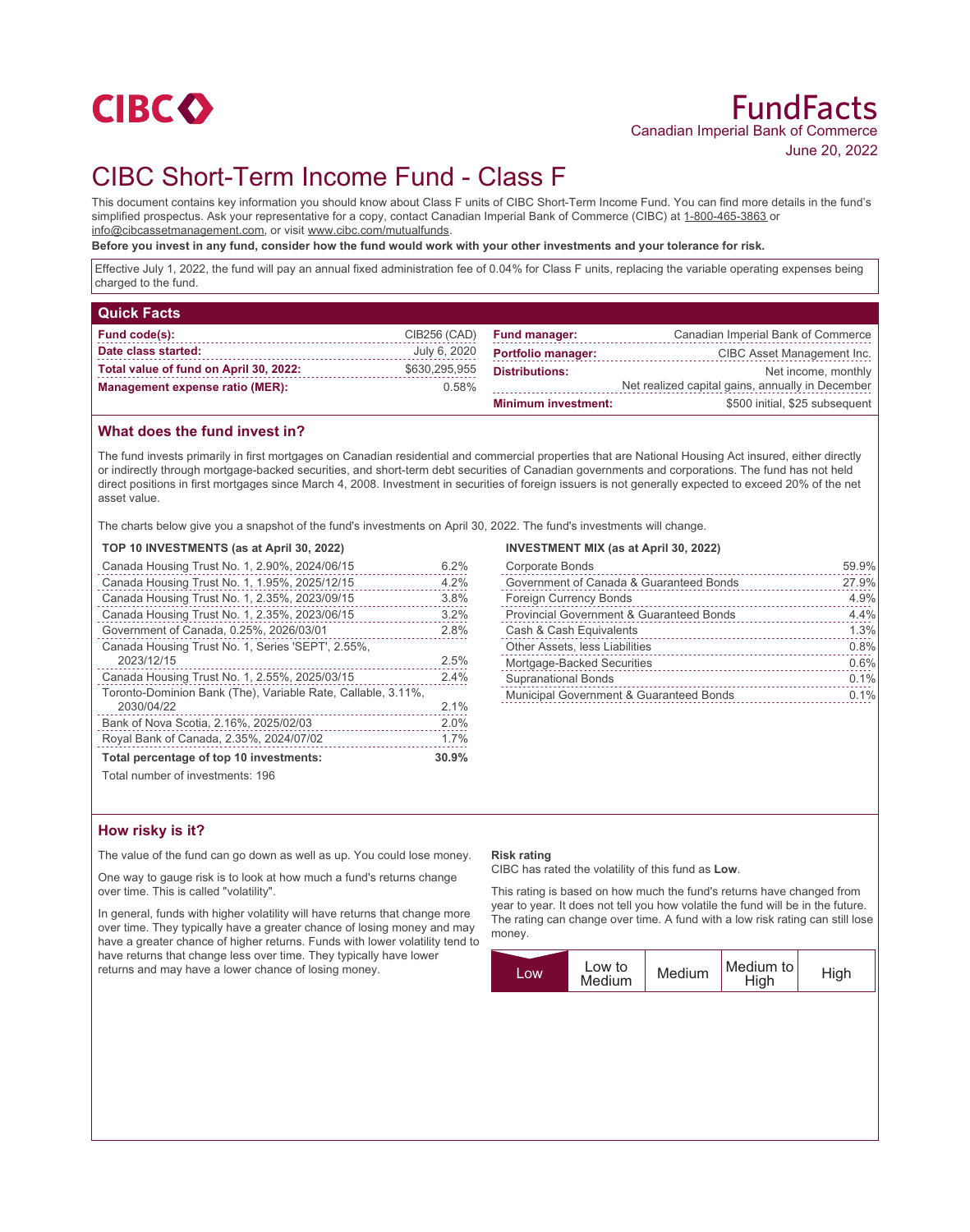

# FundFacts Canadian Imperial Bank of Commerce June 20, 2022

# CIBC Short-Term Income Fund - Class F

This document contains key information you should know about Class F units of CIBC Short-Term Income Fund. You can find more details in the fund's simplified prospectus. Ask your representative for a copy, contact Canadian Imperial Bank of Commerce (CIBC) at 1-800-465-3863 or info@cibcassetmanagement.com, or visit www.cibc.com/mutualfunds.

**Before you invest in any fund, consider how the fund would work with your other investments and your tolerance for risk.**

Effective July 1, 2022, the fund will pay an annual fixed administration fee of 0.04% for Class F units, replacing the variable operating expenses being charged to the fund.

| <b>Quick Facts</b>                     |               |                            |                                                  |
|----------------------------------------|---------------|----------------------------|--------------------------------------------------|
| Fund code(s):                          | CIB256 (CAD)  | <b>Fund manager:</b>       | Canadian Imperial Bank of Commerce               |
| Date class started:                    | July 6, 2020  | <b>Portfolio manager:</b>  | CIBC Asset Management Inc.                       |
| Total value of fund on April 30, 2022: | \$630,295,955 | <b>Distributions:</b>      | Net income, monthly                              |
| <b>Management expense ratio (MER):</b> | 0.58%         |                            | Net realized capital gains, annually in December |
|                                        |               | <b>Minimum investment:</b> | \$500 initial, \$25 subsequent                   |

## **What does the fund invest in?**

The fund invests primarily in first mortgages on Canadian residential and commercial properties that are National Housing Act insured, either directly or indirectly through mortgage-backed securities, and short-term debt securities of Canadian governments and corporations. The fund has not held direct positions in first mortgages since March 4, 2008. Investment in securities of foreign issuers is not generally expected to exceed 20% of the net asset value.

The charts below give you a snapshot of the fund's investments on April 30, 2022. The fund's investments will change.

#### **TOP 10 INVESTMENTS (as at April 30, 2022)**

| Canada Housing Trust No. 1, 2.90%, 2024/06/15                | 6.2%  |
|--------------------------------------------------------------|-------|
| Canada Housing Trust No. 1, 1.95%, 2025/12/15                | 4.2%  |
| Canada Housing Trust No. 1, 2.35%, 2023/09/15                | 3.8%  |
| Canada Housing Trust No. 1, 2.35%, 2023/06/15                | 3.2%  |
| Government of Canada, 0.25%, 2026/03/01                      | 2.8%  |
| Canada Housing Trust No. 1, Series 'SEPT', 2.55%,            |       |
| 2023/12/15                                                   | 2.5%  |
| Canada Housing Trust No. 1, 2.55%, 2025/03/15                | 2.4%  |
| Toronto-Dominion Bank (The), Variable Rate, Callable, 3.11%, |       |
| 2030/04/22                                                   | 2.1%  |
| Bank of Nova Scotia, 2.16%, 2025/02/03                       | 2.0%  |
| Royal Bank of Canada, 2.35%, 2024/07/02                      | 1.7%  |
| Total percentage of top 10 investments:                      | 30.9% |
| Total number of investments: 196                             |       |

### **INVESTMENT MIX (as at April 30, 2022)**

| <b>Corporate Bonds</b>                   | 59.9%             |
|------------------------------------------|-------------------|
| Government of Canada & Guaranteed Bonds  | 27.9%<br><u>.</u> |
| Foreign Currency Bonds                   | 4.9%              |
| Provincial Government & Guaranteed Bonds | 4.4%              |
| Cash & Cash Equivalents                  | 1.3%              |
| Other Assets, less Liabilities           | 0.8%              |
| Mortgage-Backed Securities               | 0.6%              |
| <b>Supranational Bonds</b>               | 0.1%              |
| Municipal Government & Guaranteed Bonds  | 0.1%              |
|                                          |                   |

## **How risky is it?**

The value of the fund can go down as well as up. You could lose money.

One way to gauge risk is to look at how much a fund's returns change over time. This is called "volatility".

In general, funds with higher volatility will have returns that change more over time. They typically have a greater chance of losing money and may have a greater chance of higher returns. Funds with lower volatility tend to have returns that change less over time. They typically have lower returns and may have a lower chance of losing money.

### **Risk rating**

CIBC has rated the volatility of this fund as **Low**.

This rating is based on how much the fund's returns have changed from year to year. It does not tell you how volatile the fund will be in the future. The rating can change over time. A fund with a low risk rating can still lose money.

| <b>LOW</b> | Low to<br>Medium | Medium | Medium to<br>High | High |
|------------|------------------|--------|-------------------|------|
|            |                  |        |                   |      |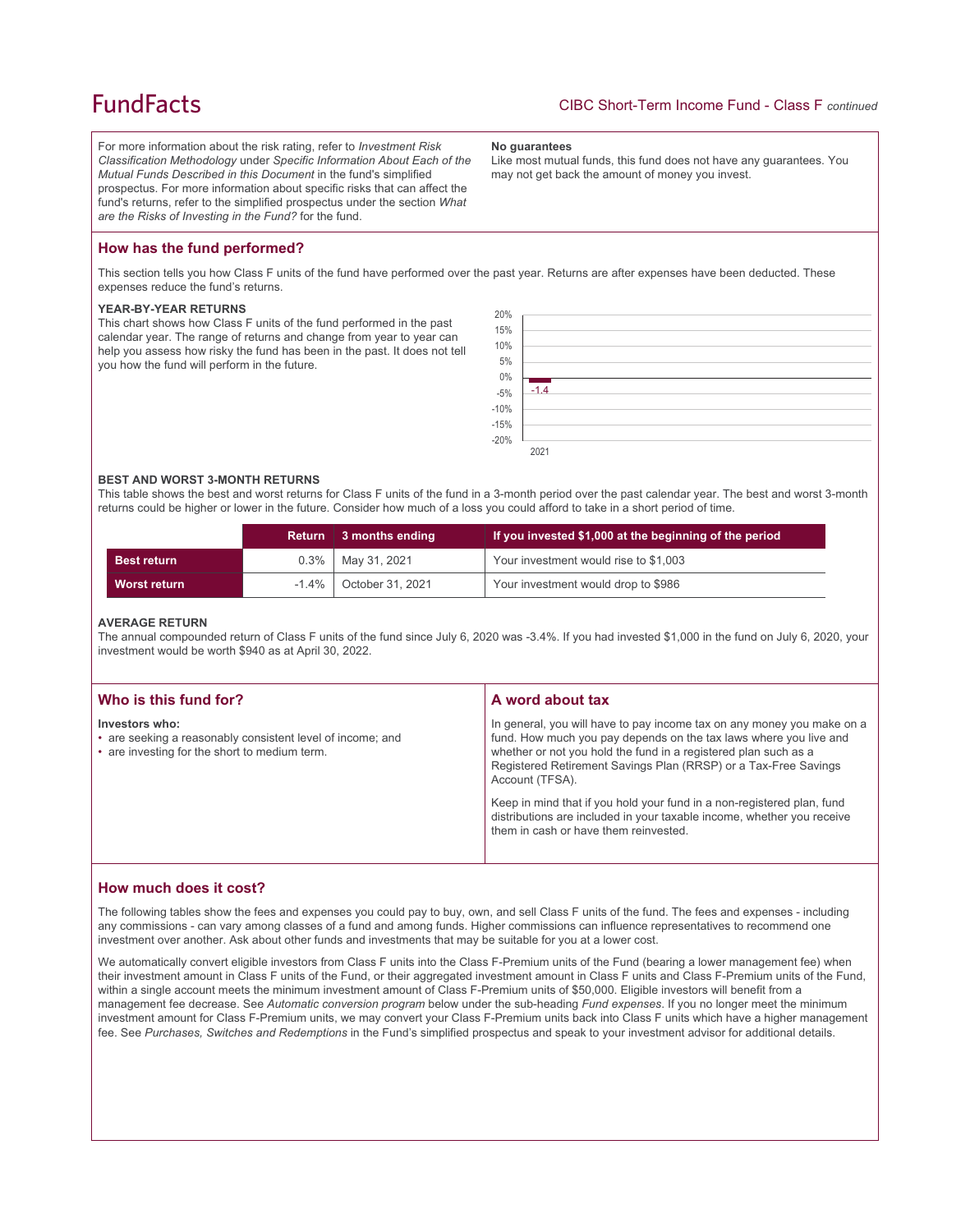## **FundFacts**

For more information about the risk rating, refer to *Investment Risk Classification Methodology* under *Specific Information About Each of the Mutual Funds Described in this Document* in the fund's simplified prospectus. For more information about specific risks that can affect the fund's returns, refer to the simplified prospectus under the section *What are the Risks of Investing in the Fund?* for the fund.

#### **No guarantees**

Like most mutual funds, this fund does not have any guarantees. You may not get back the amount of money you invest.

## **How has the fund performed?**

This section tells you how Class F units of the fund have performed over the past year. Returns are after expenses have been deducted. These expenses reduce the fund's returns.

#### **YEAR-BY-YEAR RETURNS**

This chart shows how Class F units of the fund performed in the past calendar year. The range of returns and change from year to year can help you assess how risky the fund has been in the past. It does not tell you how the fund will perform in the future.



#### **BEST AND WORST 3-MONTH RETURNS**

This table shows the best and worst returns for Class F units of the fund in a 3-month period over the past calendar year. The best and worst 3-month returns could be higher or lower in the future. Consider how much of a loss you could afford to take in a short period of time.

|                    |          | Return 3 months ending | If you invested \$1,000 at the beginning of the period |
|--------------------|----------|------------------------|--------------------------------------------------------|
| <b>Best return</b> | $0.3\%$  | May 31, 2021           | Your investment would rise to \$1,003                  |
| Worst return       | $-1.4\%$ | October 31, 2021       | Your investment would drop to \$986                    |

#### **AVERAGE RETURN**

The annual compounded return of Class F units of the fund since July 6, 2020 was -3.4%. If you had invested \$1,000 in the fund on July 6, 2020, your investment would be worth \$940 as at April 30, 2022.

| Who is this fund for?                                                                                                         | A word about tax                                                                                                                                                                                                                                                                                                                                                                                                                                                                                  |
|-------------------------------------------------------------------------------------------------------------------------------|---------------------------------------------------------------------------------------------------------------------------------------------------------------------------------------------------------------------------------------------------------------------------------------------------------------------------------------------------------------------------------------------------------------------------------------------------------------------------------------------------|
| Investors who:<br>• are seeking a reasonably consistent level of income; and<br>• are investing for the short to medium term. | In general, you will have to pay income tax on any money you make on a<br>fund. How much you pay depends on the tax laws where you live and<br>whether or not you hold the fund in a registered plan such as a<br>Registered Retirement Savings Plan (RRSP) or a Tax-Free Savings<br>Account (TFSA).<br>Keep in mind that if you hold your fund in a non-registered plan, fund<br>distributions are included in your taxable income, whether you receive<br>them in cash or have them reinvested. |

## **How much does it cost?**

The following tables show the fees and expenses you could pay to buy, own, and sell Class F units of the fund. The fees and expenses - including any commissions - can vary among classes of a fund and among funds. Higher commissions can influence representatives to recommend one investment over another. Ask about other funds and investments that may be suitable for you at a lower cost.

We automatically convert eligible investors from Class F units into the Class F-Premium units of the Fund (bearing a lower management fee) when their investment amount in Class F units of the Fund, or their aggregated investment amount in Class F units and Class F-Premium units of the Fund, within a single account meets the minimum investment amount of Class F-Premium units of \$50,000. Eligible investors will benefit from a management fee decrease. See *Automatic conversion program* below under the sub-heading *Fund expenses*. If you no longer meet the minimum investment amount for Class F-Premium units, we may convert your Class F-Premium units back into Class F units which have a higher management fee. See *Purchases, Switches and Redemptions* in the Fund's simplified prospectus and speak to your investment advisor for additional details.